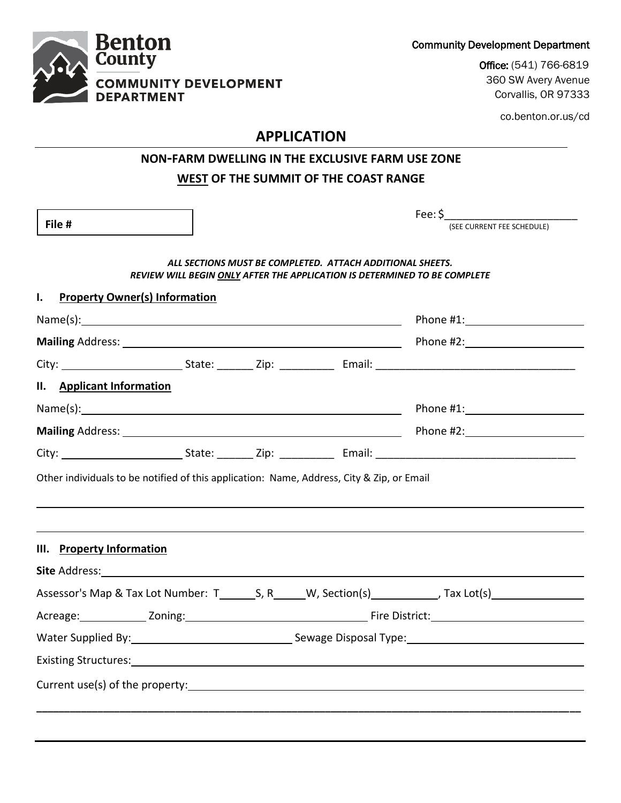Community Development Department

Office: (541) 766-6819 360 SW Avery Avenue Corvallis, OR 97333

co.benton.or.us/cd

# **APPLICATION**

## **NON-FARM DWELLING IN THE EXCLUSIVE FARM USE ZONE WEST OF THE SUMMIT OF THE COAST RANGE**

|                                                                                                                        |  | Fee: $\zeta$                                                                                                                                                                                                                   |
|------------------------------------------------------------------------------------------------------------------------|--|--------------------------------------------------------------------------------------------------------------------------------------------------------------------------------------------------------------------------------|
| File #                                                                                                                 |  | (SEE CURRENT FEE SCHEDULE)                                                                                                                                                                                                     |
|                                                                                                                        |  | ALL SECTIONS MUST BE COMPLETED. ATTACH ADDITIONAL SHEETS.<br>REVIEW WILL BEGIN ONLY AFTER THE APPLICATION IS DETERMINED TO BE COMPLETE                                                                                         |
| L.<br><b>Property Owner(s) Information</b>                                                                             |  |                                                                                                                                                                                                                                |
|                                                                                                                        |  | Phone #1: New York Phone #1:                                                                                                                                                                                                   |
|                                                                                                                        |  |                                                                                                                                                                                                                                |
|                                                                                                                        |  |                                                                                                                                                                                                                                |
| II. Applicant Information                                                                                              |  |                                                                                                                                                                                                                                |
|                                                                                                                        |  |                                                                                                                                                                                                                                |
|                                                                                                                        |  |                                                                                                                                                                                                                                |
|                                                                                                                        |  | Mailing Address: 1988 Contract Contract Contract Contract Contract Contract Contract Contract Contract Contract Contract Contract Contract Contract Contract Contract Contract Contract Contract Contract Contract Contract Co |
|                                                                                                                        |  |                                                                                                                                                                                                                                |
|                                                                                                                        |  |                                                                                                                                                                                                                                |
|                                                                                                                        |  |                                                                                                                                                                                                                                |
|                                                                                                                        |  |                                                                                                                                                                                                                                |
|                                                                                                                        |  |                                                                                                                                                                                                                                |
|                                                                                                                        |  | Water Supplied By: National According Sewage Disposal Type: National According Sewage Disposal Type:                                                                                                                           |
| Other individuals to be notified of this application: Name, Address, City & Zip, or Email<br>III. Property Information |  |                                                                                                                                                                                                                                |

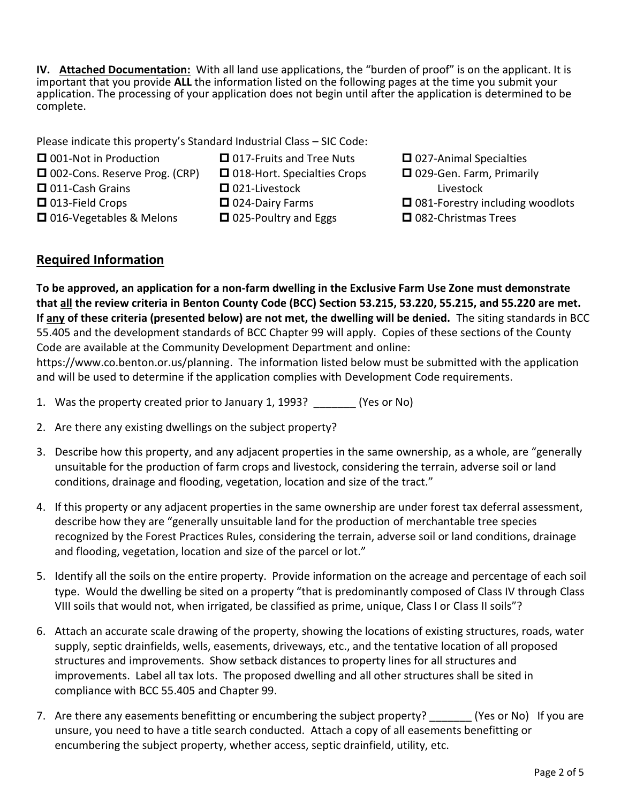**IV. Attached Documentation:** With all land use applications, the "burden of proof" is on the applicant. It is important that you provide **ALL** the information listed on the following pages at the time you submit your application. The processing of your application does not begin until after the application is determined to be complete.

Please indicate this property's Standard Industrial Class – SIC Code:

■ 001-Not in Production

□ 016-Vegetables & Melons

- □ 002-Cons. Reserve Prog. (CRP)
- 011-Cash Grains □ 013-Field Crops
- □ 018-Hort. Specialties Crops

□ 017-Fruits and Tree Nuts

- 021-Livestock
	- 024-Dairy Farms
		- □ 025-Poultry and Eggs
- **□** 027-Animal Specialties □ 029-Gen. Farm, Primarily Livestock  $\Box$  081-Forestry including woodlots □ 082-Christmas Trees

### **Required Information**

**To be approved, an application for a non-farm dwelling in the Exclusive Farm Use Zone must demonstrate that all the review criteria in Benton County Code (BCC) Section 53.215, 53.220, 55.215, and 55.220 are met. If any of these criteria (presented below) are not met, the dwelling will be denied.** The siting standards in BCC 55.405 and the development standards of BCC Chapter 99 will apply. Copies of these sections of the County Code are available at the Community Development Department and online:

https://www.co.benton.or.us/planning. The information listed below must be submitted with the application and will be used to determine if the application complies with Development Code requirements.

- 1. Was the property created prior to January 1, 1993? (Yes or No)
- 2. Are there any existing dwellings on the subject property?
- 3. Describe how this property, and any adjacent properties in the same ownership, as a whole, are "generally unsuitable for the production of farm crops and livestock, considering the terrain, adverse soil or land conditions, drainage and flooding, vegetation, location and size of the tract."
- 4. If this property or any adjacent properties in the same ownership are under forest tax deferral assessment, describe how they are "generally unsuitable land for the production of merchantable tree species recognized by the Forest Practices Rules, considering the terrain, adverse soil or land conditions, drainage and flooding, vegetation, location and size of the parcel or lot."
- 5. Identify all the soils on the entire property. Provide information on the acreage and percentage of each soil type. Would the dwelling be sited on a property "that is predominantly composed of Class IV through Class VIII soils that would not, when irrigated, be classified as prime, unique, Class I or Class II soils"?
- 6. Attach an accurate scale drawing of the property, showing the locations of existing structures, roads, water supply, septic drainfields, wells, easements, driveways, etc., and the tentative location of all proposed structures and improvements. Show setback distances to property lines for all structures and improvements. Label all tax lots. The proposed dwelling and all other structures shall be sited in compliance with BCC 55.405 and Chapter 99.
- 7. Are there any easements benefitting or encumbering the subject property? (Yes or No) If you are unsure, you need to have a title search conducted. Attach a copy of all easements benefitting or encumbering the subject property, whether access, septic drainfield, utility, etc.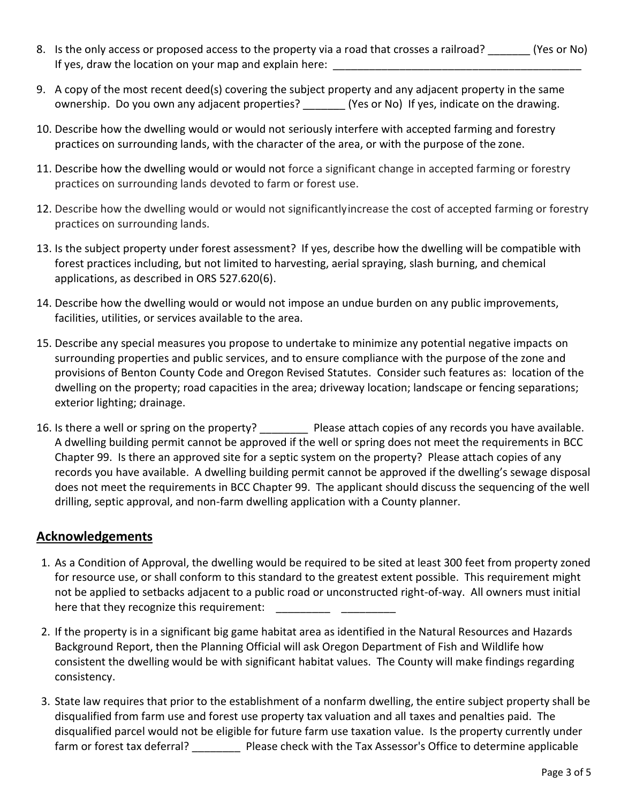- 8. Is the only access or proposed access to the property via a road that crosses a railroad? (Yes or No) If yes, draw the location on your map and explain here:
- 9. A copy of the most recent deed(s) covering the subject property and any adjacent property in the same ownership. Do you own any adjacent properties? \_\_\_\_\_\_\_ (Yes or No) If yes, indicate on the drawing.
- 10. Describe how the dwelling would or would not seriously interfere with accepted farming and forestry practices on surrounding lands, with the character of the area, or with the purpose of the zone.
- 11. Describe how the dwelling would or would not force a significant change in accepted farming or forestry practices on surrounding lands devoted to farm or forest use.
- 12. Describe how the dwelling would or would not significantlyincrease the cost of accepted farming or forestry practices on surrounding lands.
- 13. Is the subject property under forest assessment? If yes, describe how the dwelling will be compatible with forest practices including, but not limited to harvesting, aerial spraying, slash burning, and chemical applications, as described in ORS 527.620(6).
- 14. Describe how the dwelling would or would not impose an undue burden on any public improvements, facilities, utilities, or services available to the area.
- 15. Describe any special measures you propose to undertake to minimize any potential negative impacts on surrounding properties and public services, and to ensure compliance with the purpose of the zone and provisions of Benton County Code and Oregon Revised Statutes. Consider such features as: location of the dwelling on the property; road capacities in the area; driveway location; landscape or fencing separations; exterior lighting; drainage.
- 16. Is there a well or spring on the property? \_\_\_\_\_\_\_\_\_ Please attach copies of any records you have available. A dwelling building permit cannot be approved if the well or spring does not meet the requirements in BCC Chapter 99. Is there an approved site for a septic system on the property? Please attach copies of any records you have available. A dwelling building permit cannot be approved if the dwelling's sewage disposal does not meet the requirements in BCC Chapter 99. The applicant should discuss the sequencing of the well drilling, septic approval, and non-farm dwelling application with a County planner.

#### **Acknowledgements**

- 1. As a Condition of Approval, the dwelling would be required to be sited at least 300 feet from property zoned for resource use, or shall conform to this standard to the greatest extent possible. This requirement might not be applied to setbacks adjacent to a public road or unconstructed right-of-way. All owners must initial here that they recognize this requirement:
- 2. If the property is in a significant big game habitat area as identified in the Natural Resources and Hazards Background Report, then the Planning Official will ask Oregon Department of Fish and Wildlife how consistent the dwelling would be with significant habitat values. The County will make findings regarding consistency.
- 3. State law requires that prior to the establishment of a nonfarm dwelling, the entire subject property shall be disqualified from farm use and forest use property tax valuation and all taxes and penalties paid. The disqualified parcel would not be eligible for future farm use taxation value. Is the property currently under farm or forest tax deferral? \_\_\_\_\_\_\_\_\_\_\_ Please check with the Tax Assessor's Office to determine applicable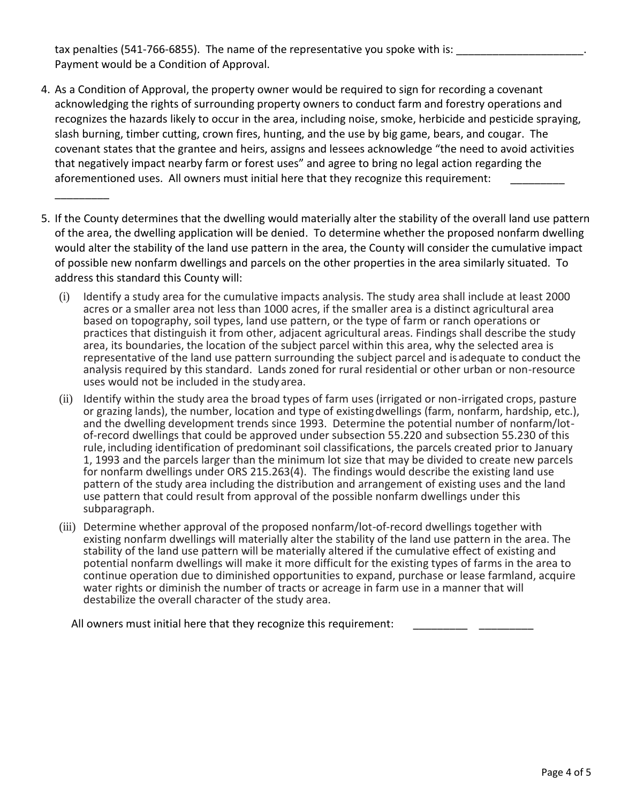tax penalties (541-766-6855). The name of the representative you spoke with is: Payment would be a Condition of Approval.

\_\_\_\_\_\_\_\_\_

- 4. As a Condition of Approval, the property owner would be required to sign for recording a covenant acknowledging the rights of surrounding property owners to conduct farm and forestry operations and recognizes the hazards likely to occur in the area, including noise, smoke, herbicide and pesticide spraying, slash burning, timber cutting, crown fires, hunting, and the use by big game, bears, and cougar. The covenant states that the grantee and heirs, assigns and lessees acknowledge "the need to avoid activities that negatively impact nearby farm or forest uses" and agree to bring no legal action regarding the aforementioned uses. All owners must initial here that they recognize this requirement:
- 5. If the County determines that the dwelling would materially alter the stability of the overall land use pattern of the area, the dwelling application will be denied. To determine whether the proposed nonfarm dwelling would alter the stability of the land use pattern in the area, the County will consider the cumulative impact of possible new nonfarm dwellings and parcels on the other properties in the area similarly situated. To address this standard this County will:
	- (i) Identify a study area for the cumulative impacts analysis. The study area shall include at least 2000 acres or a smaller area not less than 1000 acres, if the smaller area is a distinct agricultural area based on topography, soil types, land use pattern, or the type of farm or ranch operations or practices that distinguish it from other, adjacent agricultural areas. Findings shall describe the study area, its boundaries, the location of the subject parcel within this area, why the selected area is representative of the land use pattern surrounding the subject parcel and is adequate to conduct the analysis required by this standard. Lands zoned for rural residential or other urban or non-resource uses would not be included in the studyarea.
	- (ii) Identify within the study area the broad types of farm uses (irrigated or non-irrigated crops, pasture or grazing lands), the number, location and type of existingdwellings (farm, nonfarm, hardship, etc.), and the dwelling development trends since 1993. Determine the potential number of nonfarm/lotof-record dwellings that could be approved under subsection 55.220 and subsection 55.230 of this rule, including identification of predominant soil classifications, the parcels created prior to January 1, 1993 and the parcels larger than the minimum lot size that may be divided to create new parcels for nonfarm dwellings under ORS 215.263(4). The findings would describe the existing land use pattern of the study area including the distribution and arrangement of existing uses and the land use pattern that could result from approval of the possible nonfarm dwellings under this subparagraph.
	- (iii) Determine whether approval of the proposed nonfarm/lot-of-record dwellings together with existing nonfarm dwellings will materially alter the stability of the land use pattern in the area. The stability of the land use pattern will be materially altered if the cumulative effect of existing and potential nonfarm dwellings will make it more difficult for the existing types of farms in the area to continue operation due to diminished opportunities to expand, purchase or lease farmland, acquire water rights or diminish the number of tracts or acreage in farm use in a manner that will destabilize the overall character of the study area.

All owners must initial here that they recognize this requirement: